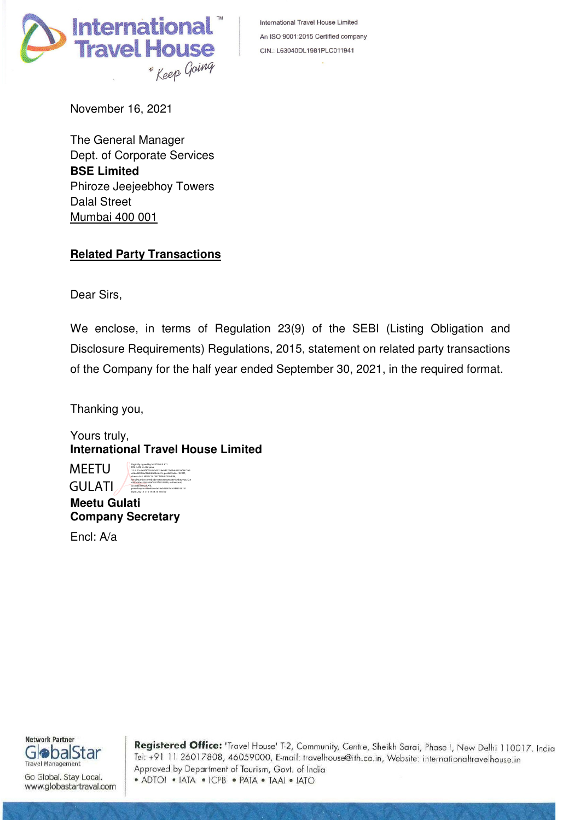

International Travel House Limited An ISO 9001:2015 Certified company CIN.: L63040DL1981PLC011941

November 16, 2021

The General Manager Dept. of Corporate Services **BSE Limited**  Phiroze Jeejeebhoy Towers Dalal Street Mumbai 400 001

# **Related Party Transactions**

Dear Sirs,

We enclose, in terms of Regulation 23(9) of the SEBI (Listing Obligation and Disclosure Requirements) Regulations, 2015, statement on related party transactions of the Company for the half year ended September 30, 2021, in the required format.

Thanking you,

Yours truly, **International Travel House Limited**

**MEETU** GULATI DN: c=IN, st=Haryana,

2.5.4.20=3e9f3f7162e0d5259e0d177e5bd4322ef4671a5 e6dcd600bac9bafdca3bca42c, postalCode=122001, street=34 L NEW COLONY NEAR DSSHERA, serialNumber=59eb3de168c6500a483491b4b6a9a32f28 c962c80ea3b5bc8af5b07f360290f6, o=Personal, cn=MEETU GULATI, pseudonym=e3e46a4e5e56ab25901c3c9bf8539251 Date: 2021.11.16 14:18:15 +05'30'

Digitally signed by MEETU GULATI

**Meetu Gulati Company Secretary** 

Encl: A/a



Go Global. Stay Local. www.globastartraval.com

Registered Office: 'Travel House' T-2, Community, Centre, Sheikh Sarai, Phase I, New Delhi 110017, India Tel: +91 11 26017808, 46059000, E-mail: travelhouse@ith.co.in, Website: internationaltravelhouse.in Approved by Department of Tourism, Govt. of India • ADTOI • IATA • ICPB • PATA • TAAI • IATO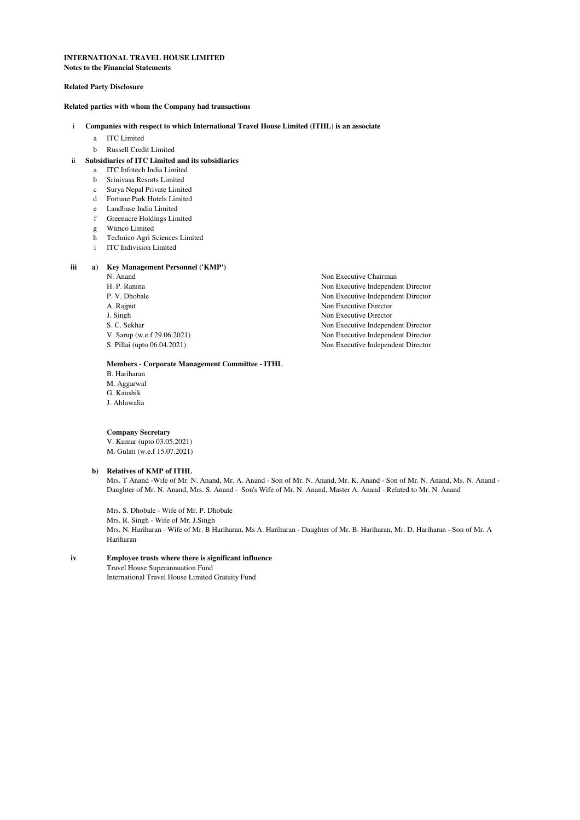#### **INTERNATIONAL TRAVEL HOUSE LIMITED Notes to the Financial Statements**

# **Related Party Disclosure**

### **Related parties with whom the Company had transactions**

### i **Companies with respect to which International Travel House Limited (ITHL) is an associate**

- a ITC Limited
- b Russell Credit Limited

# ii **Subsidiaries of ITC Limited and its subsidiaries**

- a ITC Infotech India Limited
- b Srinivasa Resorts Limited
- c Surya Nepal Private Limited
- d Fortune Park Hotels Limited
- e Landbase India Limited
- f Greenacre Holdings Limited
- g Wimco Limited
- h Technico Agri Sciences Limited
- i ITC Indivision Limited

#### **iii a) Key Management Personnel ('KMP')**

- 
- 
- 
- 
- 
- 
- 
- 

# **Members - Corporate Management Committee - ITHL**

B. Hariharan M. Aggarwal G. Kaushik J. Ahluwalia

# **Company Secretary**

V. Kumar (upto 03.05.2021) M. Gulati (w.e.f 15.07.2021)

### **b) Relatives of KMP of ITHL**

Mrs. T Anand -Wife of Mr. N. Anand, Mr. A. Anand - Son of Mr. N. Anand, Mr. K. Anand - Son of Mr. N. Anand, Ms. N. Anand - Daughter of Mr. N. Anand, Mrs. S. Anand - Son's Wife of Mr. N. Anand, Master A. Anand - Related to Mr. N. Anand

Mrs. N. Hariharan - Wife of Mr. B Hariharan, Ms A. Hariharan - Daughter of Mr. B. Hariharan, Mr. D. Hariharan - Son of Mr. A Hariharan Mrs. S. Dhobale - Wife of Mr. P. Dhobale Mrs. R. Singh - Wife of Mr. J.Singh

## **iv Employee trusts where there is significant influence**

Travel House Superannuation Fund International Travel House Limited Gratuity Fund

N. Anand Non Executive Chairman H. P. Ranina Non Executive Independent Director<br>
P. V. Dhobale<br>
Non Executive Independent Director Non Executive Independent Director A. Rajput Non Executive Director J. Singh Non Executive Director<br>
S. C. Sekhar<br>
Non Executive Independent S. C. Sekhar Non Executive Independent Director V. Sarup (w.e.f 29.06.2021) Non Executive Independent Director Non Executive Independent Director S. Pillai (upto 06.04.2021) Non Executive Independent Director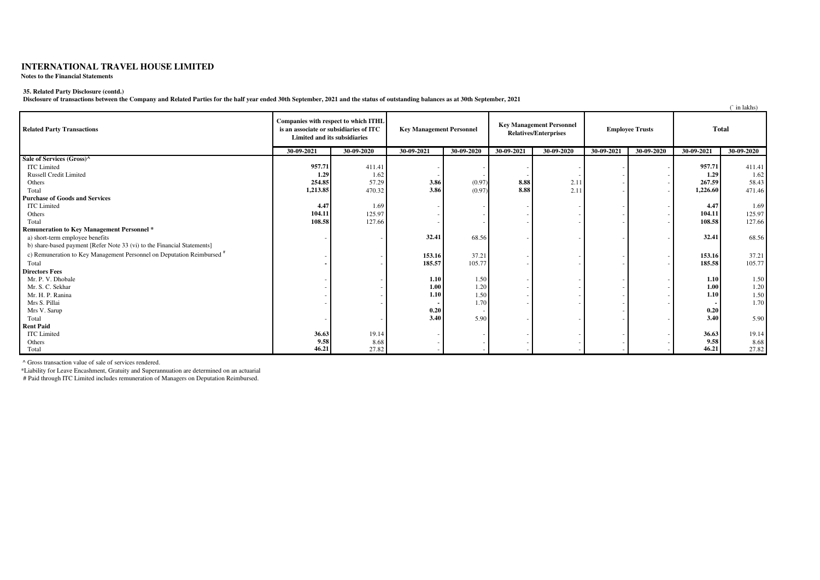# **INTERNATIONAL TRAVEL HOUSE LIMITED**

**Notes to the Financial Statements**

#### **35. Related Party Disclosure (contd.)**

**Disclosure of transactions between the Company and Related Parties for the half year ended 30th September, 2021 and the status of outstanding balances as at 30th September, 2021**

|                                                                                   |                                                                                                                |            |                                 |            |                                                                 |            |                        |            |              | $\hat{C}$ in lakhs) |
|-----------------------------------------------------------------------------------|----------------------------------------------------------------------------------------------------------------|------------|---------------------------------|------------|-----------------------------------------------------------------|------------|------------------------|------------|--------------|---------------------|
| <b>Related Party Transactions</b>                                                 | Companies with respect to which ITHL<br>is an associate or subsidiaries of ITC<br>Limited and its subsidiaries |            | <b>Key Management Personnel</b> |            | <b>Key Management Personnel</b><br><b>Relatives/Enterprises</b> |            | <b>Employee Trusts</b> |            | <b>Total</b> |                     |
|                                                                                   | 30-09-2021                                                                                                     | 30-09-2020 | $30-09-2021$                    | 30-09-2020 | 30-09-2021                                                      | 30-09-2020 | 30-09-2021             | 30-09-2020 | 30-09-2021   | 30-09-2020          |
| Sale of Services (Gross)^                                                         |                                                                                                                |            |                                 |            |                                                                 |            |                        |            |              |                     |
| <b>ITC</b> Limited                                                                | 957.71                                                                                                         | 411.41     |                                 |            |                                                                 |            |                        |            | 957.71       | 411.41              |
| Russell Credit Limited                                                            | 1.29                                                                                                           | 1.62       |                                 |            |                                                                 |            |                        |            | 1.29         | 1.62                |
| Others                                                                            | 254.85                                                                                                         | 57.29      | 3.86                            | (0.97)     | 8.88                                                            | 2.1        |                        |            | 267.59       | 58.43               |
| Total                                                                             | 1,213.85                                                                                                       | 470.32     | 3.86                            | (0.97)     | 8.88                                                            | 2.1        |                        |            | 1,226.60     | 471.46              |
| <b>Purchase of Goods and Services</b>                                             |                                                                                                                |            |                                 |            |                                                                 |            |                        |            |              |                     |
| <b>ITC</b> Limited                                                                | 4.47                                                                                                           | 1.69       |                                 |            |                                                                 |            |                        |            | 4.47         | 1.69                |
| Others                                                                            | 104.11                                                                                                         | 125.97     |                                 |            |                                                                 |            |                        |            | 104.11       | 125.97              |
| Total                                                                             | 108.58                                                                                                         | 127.66     |                                 |            |                                                                 |            |                        |            | 108.58       | 127.66              |
| <b>Remuneration to Key Management Personnel *</b>                                 |                                                                                                                |            |                                 |            |                                                                 |            |                        |            |              |                     |
| a) short-term employee benefits                                                   |                                                                                                                |            | 32.41                           | 68.56      |                                                                 |            |                        |            | 32.41        | 68.56               |
| b) share-based payment [Refer Note 33 (vi) to the Financial Statements]           |                                                                                                                |            |                                 |            |                                                                 |            |                        |            |              |                     |
| c) Remuneration to Key Management Personnel on Deputation Reimbursed <sup>#</sup> |                                                                                                                |            | 153.16                          | 37.21      |                                                                 |            |                        |            | 153.16       | 37.21               |
| Total                                                                             |                                                                                                                |            | 185.57                          | 105.77     |                                                                 |            |                        |            | 185.58       | 105.77              |
| <b>Directors Fees</b>                                                             |                                                                                                                |            |                                 |            |                                                                 |            |                        |            |              |                     |
| Mr. P. V. Dhobale                                                                 |                                                                                                                |            | 1.10                            | 1.50       |                                                                 |            |                        |            | 1.10         | 1.50                |
| Mr. S. C. Sekhar                                                                  |                                                                                                                |            | 1.00                            | 1.20       |                                                                 |            |                        |            | 1.00         | 1.20                |
| Mr. H. P. Ranina                                                                  |                                                                                                                |            | 1.10                            | 1.50       |                                                                 |            |                        |            | 1.10         | 1.50                |
| Mrs S. Pillai                                                                     |                                                                                                                |            |                                 | 1.70       |                                                                 |            |                        |            |              | 1.70                |
| Mrs V. Sarup                                                                      |                                                                                                                |            | 0.20                            |            |                                                                 |            |                        |            | 0.20         |                     |
| Total                                                                             |                                                                                                                |            | 3.40                            | 5.90       |                                                                 |            |                        |            | 3.40         | 5.90                |
| <b>Rent Paid</b>                                                                  |                                                                                                                |            |                                 |            |                                                                 |            |                        |            |              |                     |
| <b>ITC</b> Limited                                                                | 36.63                                                                                                          | 19.14      |                                 |            |                                                                 |            |                        |            | 36.63        | 19.14               |
| Others                                                                            | 9.58                                                                                                           | 8.68       |                                 |            |                                                                 |            |                        |            | 9.58         | 8.68                |
| Total                                                                             | 46.21                                                                                                          | 27.82      |                                 |            |                                                                 |            |                        |            | 46.21        | 27.82               |

^ Gross transaction value of sale of services rendered.

\*Liability for Leave Encashment, Gratuity and Superannuation are determined on an actuarial

# Paid through ITC Limited includes remuneration of Managers on Deputation Reimbursed.